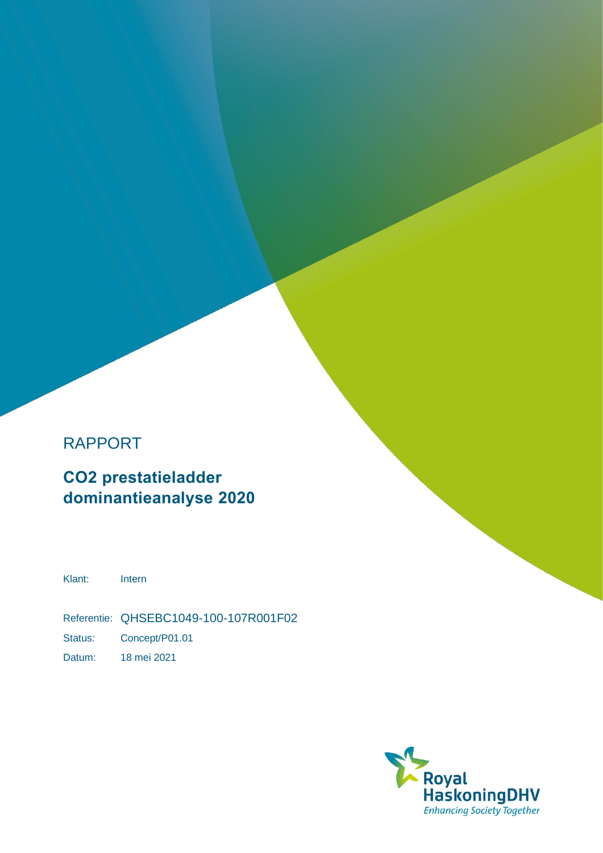# RAPPORT

**CO2 prestatieladder dominantieanalyse 2020**

Klant: Intern

Referentie: QHSEBC1049-100-107R001F02 Status: Concept/P01.01

Datum: 18 mei 2021

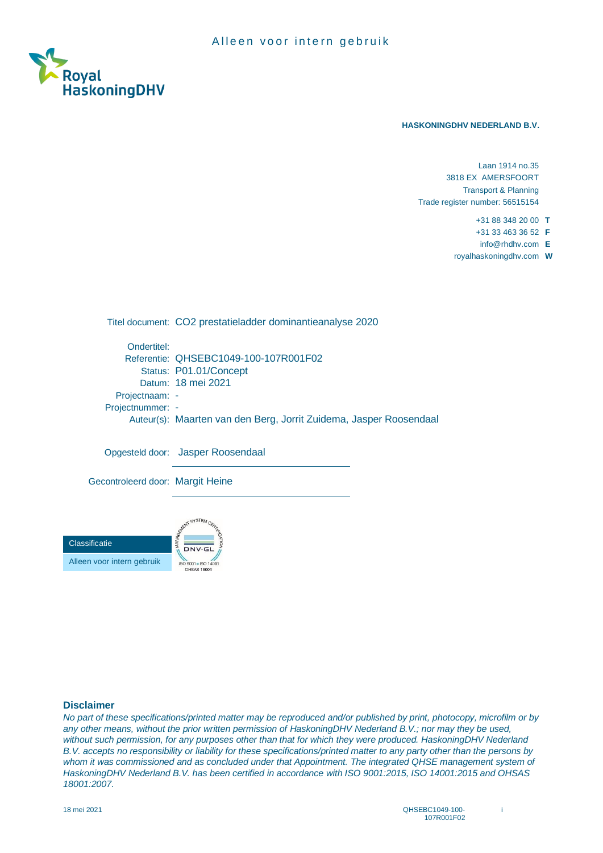

#### **HASKONINGDHV NEDERLAND B.V.**

Laan 1914 no.35 3818 EX AMERSFOORT Transport & Planning Trade register number: 56515154

+31 88 348 20 00 **T**

+31 33 463 36 52 **F**

info@rhdhv.com **E**

royalhaskoningdhv.com **W**

Titel document: CO2 prestatieladder dominantieanalyse 2020 Ondertitel: Referentie: QHSEBC1049-100-107R001F02 Status: P01.01/Concept Datum: 18 mei 2021 Projectnaam: -Projectnummer: - Auteur(s): Maarten van den Berg, Jorrit Zuidema, Jasper Roosendaal Opgesteld door: Jasper Roosendaal

Gecontroleerd door: Margit Heine



### **Disclaimer**

*No part of these specifications/printed matter may be reproduced and/or published by print, photocopy, microfilm or by*  any other means, without the prior written permission of HaskoningDHV Nederland B.V.; nor may they be used, *without such permission, for any purposes other than that for which they were produced. HaskoningDHV Nederland B.V. accepts no responsibility or liability for these specifications/printed matter to any party other than the persons by whom it was commissioned and as concluded under that Appointment. The integrated QHSE management system of HaskoningDHV Nederland B.V. has been certified in accordance with ISO 9001:2015, ISO 14001:2015 and OHSAS 18001:2007.*

i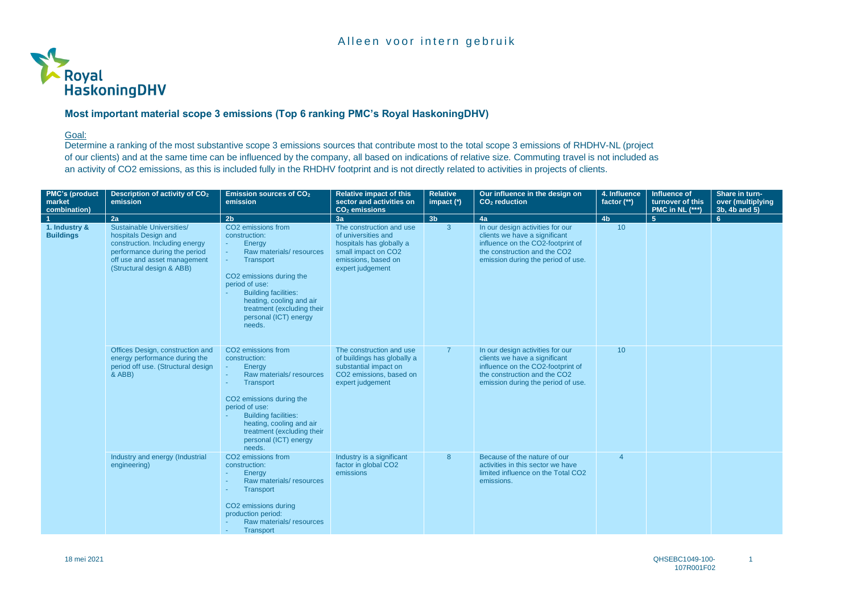

## Goal:

Determine a ranking of the most substantive scope 3 emissions sources that contribute most to the total scope 3 emissions of RHDHV-NL (project of our clients) and at the same time can be influenced by the company, all based on indications of relative size. Commuting travel is not included as an activity of CO2 emissions, as this is included fully in the RHDHV footprint and is not directly related to activities in projects of clients.

| <b>PMC's (product</b><br>market<br>combination) | Description of activity of CO <sub>2</sub><br>emission                                                                                                                            | <b>Emission sources of CO2</b><br>emission                                                                                                                                                                                                                                   | <b>Relative impact of this</b><br>sector and activities on<br>CO <sub>2</sub> emissions                                                       | <b>Relative</b><br>impact $(*)$ | Our influence in the design on<br>CO <sub>2</sub> reduction                                                                                                                  | 4. Influence<br>factor (**) | Influence of<br>turnover of this<br><b>PMC in NL (***)</b> | Share in turn-<br>over (multiplying<br>3b, 4b and 5) |
|-------------------------------------------------|-----------------------------------------------------------------------------------------------------------------------------------------------------------------------------------|------------------------------------------------------------------------------------------------------------------------------------------------------------------------------------------------------------------------------------------------------------------------------|-----------------------------------------------------------------------------------------------------------------------------------------------|---------------------------------|------------------------------------------------------------------------------------------------------------------------------------------------------------------------------|-----------------------------|------------------------------------------------------------|------------------------------------------------------|
|                                                 | 2a                                                                                                                                                                                | 2 <sub>b</sub>                                                                                                                                                                                                                                                               | 3a                                                                                                                                            | 3 <sub>b</sub>                  | 4a                                                                                                                                                                           | 4 <sub>b</sub>              | 5 <sup>1</sup>                                             | 6                                                    |
| 1. Industry &<br><b>Buildings</b>               | Sustainable Universities/<br>hospitals Design and<br>construction. Including energy<br>performance during the period<br>off use and asset management<br>(Structural design & ABB) | CO2 emissions from<br>construction:<br>Energy<br>×.<br>Raw materials/resources<br><b>Transport</b><br>CO2 emissions during the<br>period of use:<br><b>Building facilities:</b><br>heating, cooling and air<br>treatment (excluding their<br>personal (ICT) energy<br>needs. | The construction and use<br>of universities and<br>hospitals has globally a<br>small impact on CO2<br>emissions, based on<br>expert judgement | 3 <sup>2</sup>                  | In our design activities for our<br>clients we have a significant<br>influence on the CO2-footprint of<br>the construction and the CO2<br>emission during the period of use. | 10                          |                                                            |                                                      |
|                                                 | Offices Design, construction and<br>energy performance during the<br>period off use. (Structural design<br>& ABB)                                                                 | CO2 emissions from<br>construction:<br>Enerav<br>Raw materials/resources<br><b>Transport</b><br>CO2 emissions during the<br>period of use:<br><b>Building facilities:</b><br>heating, cooling and air<br>treatment (excluding their<br>personal (ICT) energy<br>needs.       | The construction and use<br>of buildings has globally a<br>substantial impact on<br>CO2 emissions, based on<br>expert judgement               | $\overline{7}$                  | In our design activities for our<br>clients we have a significant<br>influence on the CO2-footprint of<br>the construction and the CO2<br>emission during the period of use. | 10                          |                                                            |                                                      |
|                                                 | Industry and energy (Industrial<br>engineering)                                                                                                                                   | CO <sub>2</sub> emissions from<br>construction:<br>Energy<br>Raw materials/resources<br>Transport<br>CO2 emissions during<br>production period:<br>Raw materials/resources<br><b>Transport</b>                                                                               | Industry is a significant<br>factor in global CO2<br>emissions                                                                                | 8                               | Because of the nature of our<br>activities in this sector we have<br>limited influence on the Total CO2<br>emissions.                                                        | $\overline{4}$              |                                                            |                                                      |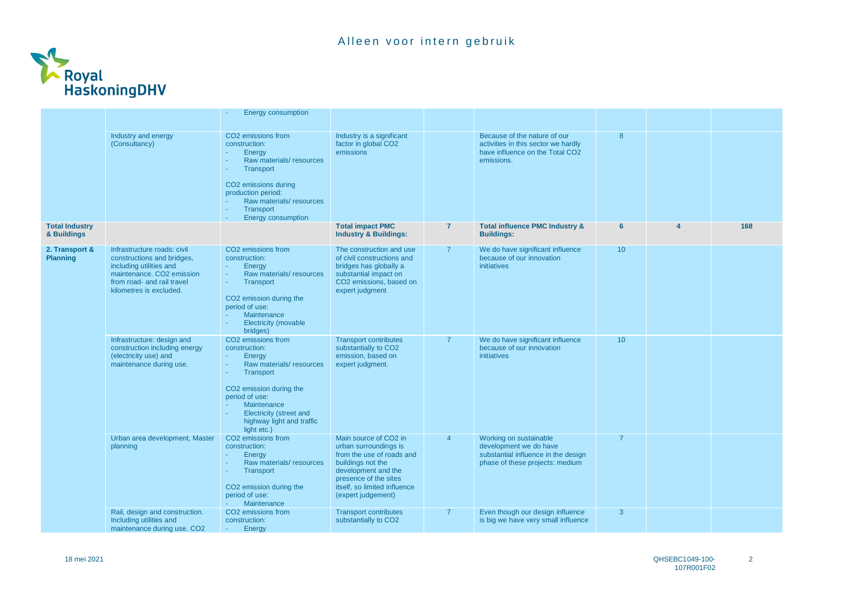

|                                      |                                                                                                                                                                                        | <b>Energy consumption</b>                                                                                                                                                                                                                            |                                                                                                                                                                                                        |                |                                                                                                                            |                 |   |     |
|--------------------------------------|----------------------------------------------------------------------------------------------------------------------------------------------------------------------------------------|------------------------------------------------------------------------------------------------------------------------------------------------------------------------------------------------------------------------------------------------------|--------------------------------------------------------------------------------------------------------------------------------------------------------------------------------------------------------|----------------|----------------------------------------------------------------------------------------------------------------------------|-----------------|---|-----|
|                                      | Industry and energy<br>(Consultancy)                                                                                                                                                   | CO <sub>2</sub> emissions from<br>construction:<br>Energy<br>×<br>Raw materials/resources<br>Transport<br>CO2 emissions during<br>production period:<br>Raw materials/resources<br>Transport<br><b>Energy consumption</b>                            | Industry is a significant<br>factor in global CO2<br>emissions                                                                                                                                         |                | Because of the nature of our<br>activities in this sector we hardly<br>have influence on the Total CO2<br>emissions.       | 8               |   |     |
| <b>Total Industry</b><br>& Buildings |                                                                                                                                                                                        |                                                                                                                                                                                                                                                      | <b>Total impact PMC</b><br><b>Industry &amp; Buildings:</b>                                                                                                                                            | $\overline{7}$ | <b>Total influence PMC Industry &amp;</b><br><b>Buildings:</b>                                                             | 6               | Δ | 168 |
| 2. Transport &<br><b>Planning</b>    | Infrastructure roads: civil<br>constructions and bridges,<br>including utilities and<br>maintenance. CO <sub>2</sub> emission<br>from road- and rail travel<br>kilometres is excluded. | CO2 emissions from<br>construction:<br>Energy<br>÷<br>Raw materials/resources<br>Transport<br>÷<br>CO2 emission during the<br>period of use:<br><b>Maintenance</b><br>Electricity (movable<br>bridges)                                               | The construction and use<br>of civil constructions and<br>bridges has globally a<br>substantial impact on<br>CO2 emissions, based on<br>expert judgment                                                | $\overline{7}$ | We do have significant influence<br>because of our innovation<br><i>initiatives</i>                                        | 10 <sup>°</sup> |   |     |
|                                      | Infrastructure: design and<br>construction including energy<br>(electricity use) and<br>maintenance during use.                                                                        | CO <sub>2</sub> emissions from<br>construction:<br>Energy<br>×.<br>Raw materials/resources<br>÷<br>Transport<br>÷<br>CO2 emission during the<br>period of use:<br>Maintenance<br>Electricity (street and<br>highway light and traffic<br>light etc.) | <b>Transport contributes</b><br>substantially to CO2<br>emission, based on<br>expert judgment.                                                                                                         | $\overline{7}$ | We do have significant influence<br>because of our innovation<br>initiatives                                               | 10              |   |     |
|                                      | Urban area development, Master<br>planning                                                                                                                                             | CO2 emissions from<br>construction:<br>Energy<br>Raw materials/resources<br>×.<br>Transport<br>CO <sub>2</sub> emission during the<br>period of use:<br>Maintenance                                                                                  | Main source of CO2 in<br>urban surroundings is<br>from the use of roads and<br>buildings not the<br>development and the<br>presence of the sites<br>itself, so limited influence<br>(expert judgement) | $\overline{4}$ | Working on sustainable<br>development we do have<br>substantial influence in the design<br>phase of these projects: medium | $\overline{7}$  |   |     |
|                                      | Rail, design and construction.<br>Including utilities and<br>maintenance during use. CO2                                                                                               | CO <sub>2</sub> emissions from<br>construction:<br>Energy                                                                                                                                                                                            | <b>Transport contributes</b><br>substantially to CO2                                                                                                                                                   | $\overline{7}$ | Even though our design influence<br>is big we have very small influence                                                    | 3               |   |     |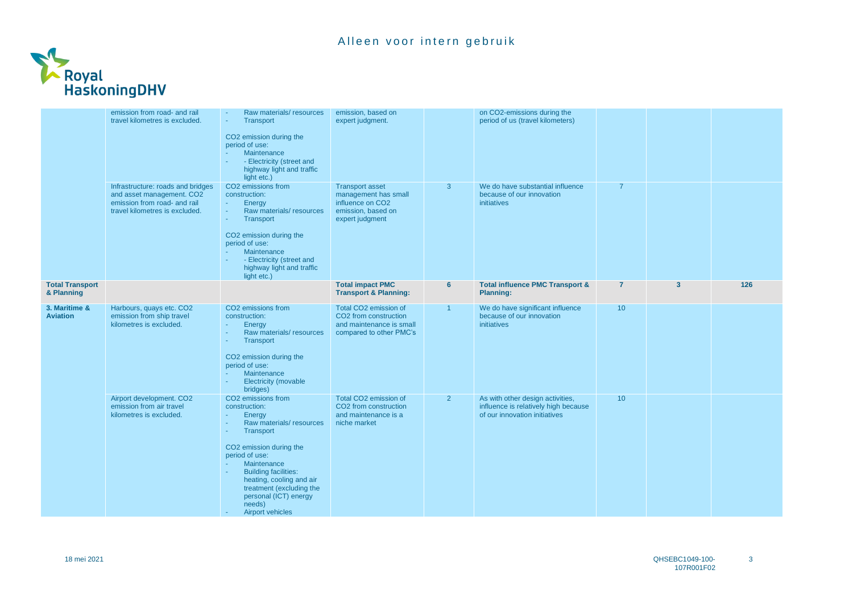

|                                      | emission from road- and rail<br>travel kilometres is excluded.                                                                   | Raw materials/resources<br>Transport<br>×<br>CO2 emission during the<br>period of use:<br>Maintenance<br>- Electricity (street and<br>highway light and traffic<br>light etc.)                                                                                                                                               | emission, based on<br>expert judgment.                                                                                  |                      | on CO2-emissions during the<br>period of us (travel kilometers)                                           |                |                         |     |
|--------------------------------------|----------------------------------------------------------------------------------------------------------------------------------|------------------------------------------------------------------------------------------------------------------------------------------------------------------------------------------------------------------------------------------------------------------------------------------------------------------------------|-------------------------------------------------------------------------------------------------------------------------|----------------------|-----------------------------------------------------------------------------------------------------------|----------------|-------------------------|-----|
|                                      | Infrastructure: roads and bridges<br>and asset management. CO2<br>emission from road- and rail<br>travel kilometres is excluded. | CO2 emissions from<br>construction:<br>Energy<br>$\sim$<br>Raw materials/resources<br>÷.<br>Transport<br>÷<br>CO2 emission during the<br>period of use:<br>Maintenance<br>- Electricity (street and<br>highway light and traffic<br>light etc.)                                                                              | <b>Transport asset</b><br>management has small<br>influence on CO <sub>2</sub><br>emission, based on<br>expert judgment | 3                    | We do have substantial influence<br>because of our innovation<br><b>initiatives</b>                       | $\overline{7}$ |                         |     |
| <b>Total Transport</b><br>& Planning |                                                                                                                                  |                                                                                                                                                                                                                                                                                                                              | <b>Total impact PMC</b><br><b>Transport &amp; Planning:</b>                                                             | 6                    | <b>Total influence PMC Transport &amp;</b><br><b>Planning:</b>                                            | $\overline{7}$ | $\overline{\mathbf{3}}$ | 126 |
| 3. Maritime &<br><b>Aviation</b>     | Harbours, quays etc. CO2<br>emission from ship travel<br>kilometres is excluded.                                                 | CO <sub>2</sub> emissions from<br>construction:<br>Energy<br>$\sim$<br>Raw materials/resources<br>٠<br>Transport<br>×.<br>CO2 emission during the<br>period of use:<br>Maintenance<br>Electricity (movable<br>÷<br>bridges)                                                                                                  | Total CO2 emission of<br>CO2 from construction<br>and maintenance is small<br>compared to other PMC's                   | $\blacktriangleleft$ | We do have significant influence<br>because of our innovation<br><b>initiatives</b>                       | 10             |                         |     |
|                                      | Airport development. CO2<br>emission from air travel<br>kilometres is excluded.                                                  | CO2 emissions from<br>construction:<br>Energy<br>٠<br>Raw materials/resources<br>÷<br><b>Transport</b><br>×<br>CO2 emission during the<br>period of use:<br>Maintenance<br><b>Building facilities:</b><br>heating, cooling and air<br>treatment (excluding the<br>personal (ICT) energy<br>needs)<br><b>Airport vehicles</b> | Total CO2 emission of<br>CO <sub>2</sub> from construction<br>and maintenance is a<br>niche market                      | $\overline{2}$       | As with other design activities,<br>influence is relatively high because<br>of our innovation initiatives | 10             |                         |     |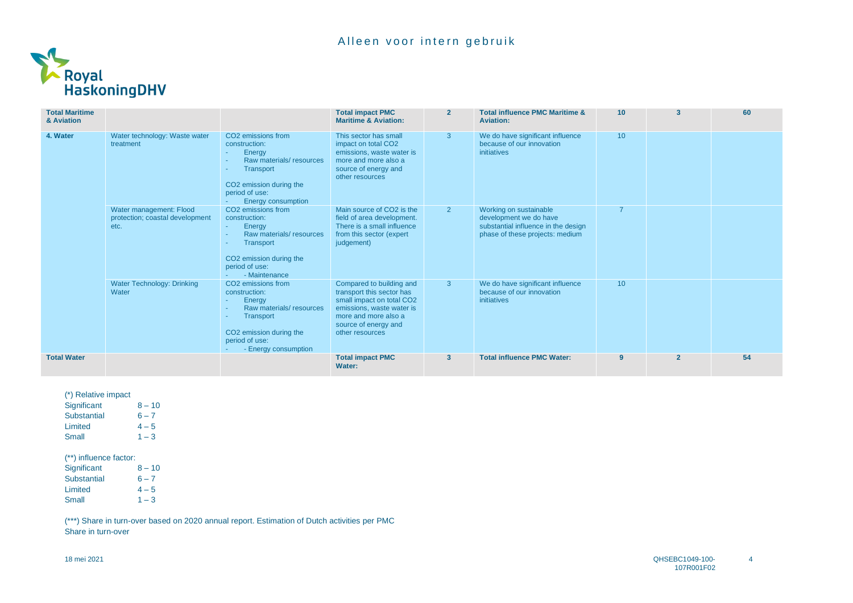

| <b>Total Maritime</b><br>& Aviation |                                                                    |                                                                                                                                                                                         | <b>Total impact PMC</b><br><b>Maritime &amp; Aviation:</b>                                                                                                                         | $\overline{2}$ | <b>Total influence PMC Maritime &amp;</b><br><b>Aviation:</b>                                                              | 10 <sup>°</sup> | 3              | 60 |
|-------------------------------------|--------------------------------------------------------------------|-----------------------------------------------------------------------------------------------------------------------------------------------------------------------------------------|------------------------------------------------------------------------------------------------------------------------------------------------------------------------------------|----------------|----------------------------------------------------------------------------------------------------------------------------|-----------------|----------------|----|
| 4. Water                            | Water technology: Waste water<br>treatment                         | CO <sub>2</sub> emissions from<br>construction:<br>Energy<br>Raw materials/resources<br>Transport<br>CO <sub>2</sub> emission during the<br>period of use:<br><b>Energy consumption</b> | This sector has small<br>impact on total CO2<br>emissions, waste water is<br>more and more also a<br>source of energy and<br>other resources                                       | 3 <sup>1</sup> | We do have significant influence<br>because of our innovation<br>initiatives                                               | 10 <sup>°</sup> |                |    |
|                                     | Water management: Flood<br>protection; coastal development<br>etc. | CO <sub>2</sub> emissions from<br>construction:<br>Energy<br>Raw materials/resources<br>Transport<br>CO2 emission during the<br>period of use:<br>- Maintenance                         | Main source of CO2 is the<br>field of area development.<br>There is a small influence<br>from this sector (expert)<br>judgement)                                                   | 2 <sup>2</sup> | Working on sustainable<br>development we do have<br>substantial influence in the design<br>phase of these projects: medium |                 |                |    |
|                                     | <b>Water Technology: Drinking</b><br>Water                         | CO <sub>2</sub> emissions from<br>construction:<br>Energy<br>Raw materials/resources<br>Transport<br>CO2 emission during the<br>period of use:<br>- Energy consumption                  | Compared to building and<br>transport this sector has<br>small impact on total CO2<br>emissions, waste water is<br>more and more also a<br>source of energy and<br>other resources | 3 <sup>°</sup> | We do have significant influence<br>because of our innovation<br>initiatives                                               | 10 <sup>°</sup> |                |    |
| <b>Total Water</b>                  |                                                                    |                                                                                                                                                                                         | <b>Total impact PMC</b><br>Water:                                                                                                                                                  | $\mathbf{3}$   | <b>Total influence PMC Water:</b>                                                                                          | $\overline{9}$  | $\overline{2}$ | 54 |

| (*) Relative impact |          |
|---------------------|----------|
| Significant         | $8 - 10$ |
| <b>Substantial</b>  | $6 - 7$  |
| Limited             | $4 - 5$  |
| Small               | $1 - 3$  |

(\*\*) influence factor: Significant 8 – 10 Substantial  $6 - 7$ Limited  $4-5$ Small  $1 - 3$ 

(\*\*\*) Share in turn-over based on 2020 annual report. Estimation of Dutch activities per PMC Share in turn-over